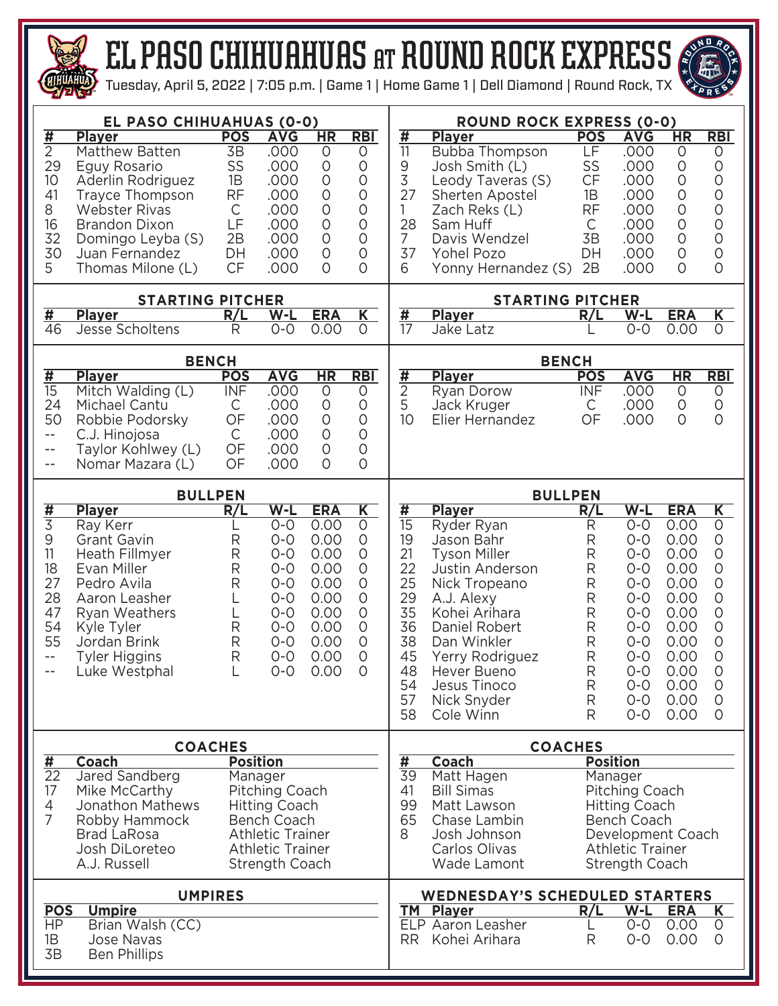

## el paso CHIHUAHUAS at round rock EXPRESS

Tuesday, April 5, 2022 | 7:05 p.m. | Game 1 | Home Game 1 | Dell Diamond | Round Rock, TX



|                                                                                                                                                                                                                                                                                                                                                                                                                                                           | EL PASO CHIHUAHUAS (0-0)                                                                                                                                                                                   |                                                                                         |                                                                                                                                |                                                                                                        | <b>ROUND ROCK EXPRESS (0-0)</b>                                                                                                          |                                                                                                    |                                                                                                                                                                                                                                                                                                                                                                                                                                                         |                                                                                      |                                                                                                                                                         |                                                                                                                            |                                                                                                                                                                                                            |  |  |  |  |  |
|-----------------------------------------------------------------------------------------------------------------------------------------------------------------------------------------------------------------------------------------------------------------------------------------------------------------------------------------------------------------------------------------------------------------------------------------------------------|------------------------------------------------------------------------------------------------------------------------------------------------------------------------------------------------------------|-----------------------------------------------------------------------------------------|--------------------------------------------------------------------------------------------------------------------------------|--------------------------------------------------------------------------------------------------------|------------------------------------------------------------------------------------------------------------------------------------------|----------------------------------------------------------------------------------------------------|---------------------------------------------------------------------------------------------------------------------------------------------------------------------------------------------------------------------------------------------------------------------------------------------------------------------------------------------------------------------------------------------------------------------------------------------------------|--------------------------------------------------------------------------------------|---------------------------------------------------------------------------------------------------------------------------------------------------------|----------------------------------------------------------------------------------------------------------------------------|------------------------------------------------------------------------------------------------------------------------------------------------------------------------------------------------------------|--|--|--|--|--|
| $\overline{\textbf{H}}$<br>$\overline{2}$<br>29<br>10<br>41<br>8<br>16<br>32<br>30<br>5                                                                                                                                                                                                                                                                                                                                                                   | <b>Player</b><br>Matthew Batten<br>Eguy Rosario<br>Aderlin Rodriguez<br><b>Trayce Thompson</b><br><b>Webster Rivas</b><br><b>Brandon Dixon</b><br>Domingo Leyba (S)<br>Juan Fernandez<br>Thomas Milone (L) | <b>POS</b><br>3B<br>SS<br>1B<br><b>RF</b><br>$\mathsf C$<br>LF<br>2B<br>DH<br><b>CF</b> | <b>AVG</b><br>.000<br>.000<br>.000<br>.000<br>.000<br>.000<br>.000<br>.000<br>.000                                             | HR<br>$\circ$<br>$\circ$<br>$\circ$<br>$\circ$<br>$\circ$<br>$\circ$<br>$\circ$<br>$\circ$<br>$\Omega$ | <b>RBI</b><br>0<br>0<br>0<br>$\circ$<br>$\circ$<br>$\circ$<br>$\circ$<br>$\circ$<br>0                                                    | $\frac{1}{11}$<br>9<br>3<br>27<br>1<br>28<br>7<br>37<br>6                                          | <b>Player</b><br><b>Bubba Thompson</b><br>Josh Smith (L)<br>Leody Taveras (S)<br>Sherten Apostel<br>Zach Reks (L)<br>Sam Huff<br>Davis Wendzel<br>Yohel Pozo<br>Yonny Hernandez (S)                                                                                                                                                                                                                                                                     | <b>POS</b><br>LF<br>SS<br>CF<br>1B<br><b>RF</b><br>$\mathsf{C}$<br>3B<br>DH<br>2B    | <b>AVG</b><br>.000<br>.000<br>.000<br>.000<br>.000<br>.000<br>.000<br>.000<br>.000                                                                      | HR<br>0<br>$\circ$<br>$\circ$<br>$\circ$<br>$\circ$<br>$\circ$<br>$\circ$<br>$\circ$<br>$\overline{O}$                     | <b>RBI</b><br>0<br>$\circ$<br>$\circ$<br>$\circ$<br>$\circ$<br>$\circ$<br>$\circ$<br>$\bigcirc$<br>$\circ$                                                                                                 |  |  |  |  |  |
|                                                                                                                                                                                                                                                                                                                                                                                                                                                           | <b>STARTING PITCHER</b>                                                                                                                                                                                    |                                                                                         |                                                                                                                                |                                                                                                        |                                                                                                                                          |                                                                                                    | <b>STARTING PITCHER</b>                                                                                                                                                                                                                                                                                                                                                                                                                                 |                                                                                      |                                                                                                                                                         |                                                                                                                            |                                                                                                                                                                                                            |  |  |  |  |  |
| $\overline{\sharp}$<br>46                                                                                                                                                                                                                                                                                                                                                                                                                                 | <b>Player</b>                                                                                                                                                                                              | R/L                                                                                     | $W-L$<br>$O-O$                                                                                                                 | <b>ERA</b><br>0.00                                                                                     | $\overline{\mathsf{K}}$<br>$\circ$                                                                                                       | $\overline{\sharp}$<br>$\overline{17}$                                                             | <b>Player</b>                                                                                                                                                                                                                                                                                                                                                                                                                                           | R/L                                                                                  | $W-L$<br>$0-0$                                                                                                                                          | <b>ERA</b>                                                                                                                 | $\overline{\mathsf{K}}$<br>$\overline{O}$                                                                                                                                                                  |  |  |  |  |  |
|                                                                                                                                                                                                                                                                                                                                                                                                                                                           | Jesse Scholtens                                                                                                                                                                                            | R                                                                                       |                                                                                                                                |                                                                                                        |                                                                                                                                          |                                                                                                    | Jake Latz                                                                                                                                                                                                                                                                                                                                                                                                                                               |                                                                                      |                                                                                                                                                         | 0.00                                                                                                                       |                                                                                                                                                                                                            |  |  |  |  |  |
|                                                                                                                                                                                                                                                                                                                                                                                                                                                           | <b>BENCH</b>                                                                                                                                                                                               |                                                                                         |                                                                                                                                |                                                                                                        | <b>BENCH</b>                                                                                                                             |                                                                                                    |                                                                                                                                                                                                                                                                                                                                                                                                                                                         |                                                                                      |                                                                                                                                                         |                                                                                                                            |                                                                                                                                                                                                            |  |  |  |  |  |
| $\overline{\sharp}$<br>$\overline{15}$<br>24<br>50<br>$- -$<br>$- -$<br>$\qquad \qquad -$                                                                                                                                                                                                                                                                                                                                                                 | <b>Player</b><br>Mitch Walding (L)<br>Michael Cantu<br>Robbie Podorsky<br>C.J. Hinojosa<br>Taylor Kohlwey (L)<br>Nomar Mazara (L)                                                                          | <b>POS</b><br><b>INF</b><br>С<br>OF<br>$\mathsf{C}$<br>OF<br>OF                         | <b>AVG</b><br>.000<br>.000<br>.000<br>.000<br>.000<br>.000                                                                     | HR<br>$\circlearrowright$<br>$\circ$<br>$\circ$<br>$\circ$<br>$\circ$<br>$\Omega$                      | R <sub>BI</sub><br>$\circ$<br>$\circ$<br>$\circ$<br>$\circ$<br>$\circ$<br>$\circ$                                                        | $\overline{\textbf{H}}$<br>$\overline{2}$<br>5<br>10 <sup>1</sup>                                  | <b>Player</b><br>Ryan Dorow<br>Jack Kruger<br>Elier Hernandez                                                                                                                                                                                                                                                                                                                                                                                           | <b>POS</b><br><b>INF</b><br>C<br>OF                                                  | <b>AVG</b><br>.000<br>.000<br>.000                                                                                                                      | $\overline{\text{HR}}$<br>0<br>0<br>$\overline{O}$                                                                         | <b>RBI</b><br>$\circ$<br>$\circ$<br>$\overline{O}$                                                                                                                                                         |  |  |  |  |  |
|                                                                                                                                                                                                                                                                                                                                                                                                                                                           | <b>BULLPEN</b>                                                                                                                                                                                             |                                                                                         |                                                                                                                                |                                                                                                        | <b>BULLPEN</b>                                                                                                                           |                                                                                                    |                                                                                                                                                                                                                                                                                                                                                                                                                                                         |                                                                                      |                                                                                                                                                         |                                                                                                                            |                                                                                                                                                                                                            |  |  |  |  |  |
| $\frac{1}{3}$<br>9<br>11<br>18<br>27<br>28<br>47<br>54<br>55<br>$\overline{\phantom{a}}$ .<br>$- -$                                                                                                                                                                                                                                                                                                                                                       | <b>Player</b><br>Ray Kerr<br><b>Grant Gavin</b><br>Heath Fillmyer<br>Evan Miller<br>Pedro Avila<br>Aaron Leasher<br>Ryan Weathers<br>Kyle Tyler<br>Jordan Brink<br><b>Tyler Higgins</b><br>Luke Westphal   | R/L<br>R<br>R<br>$\mathsf R$<br>$\mathsf R$<br>L<br>L<br>R<br>R<br>R                    | $W-L$<br>$O - O$<br>$0 - 0$<br>$O - O$<br>$O - O$<br>$0 - 0$<br>$0 - 0$<br>$0 - 0$<br>$0 - 0$<br>$0 - 0$<br>$0 - 0$<br>$O - O$ | <b>ERA</b><br>0.00<br>0.00<br>0.00<br>0.00<br>0.00<br>0.00<br>0.00<br>0.00<br>0.00<br>0.00<br>0.00     | $\overline{\mathsf{K}}$<br>$\circ$<br>$\circ$<br>$\circ$<br>$\circ$<br>$\circ$<br>0<br>$\mathsf O$<br>$\circ$<br>0<br>$\circ$<br>$\circ$ | #<br>$\overline{15}$<br>19<br>21<br>22<br>25<br>29<br>35<br>36<br>38<br>45<br>48<br>54<br>57<br>58 | <b>Player</b><br>Ryder Ryan<br>Jason Bahr<br><b>Tyson Miller</b><br>Justin Anderson<br>Nick Tropeano<br>A.J. Alexy<br>Kohei Arihara<br>Daniel Robert<br>Dan Winkler<br>Yerry Rodriguez<br>Hever Bueno<br>Jesus Tinoco<br>Nick Snyder<br>Cole Winn                                                                                                                                                                                                       | R/L<br>R<br>R<br>R<br>R<br>R<br>R<br>$\mathsf{R}$<br>R<br>R<br>R<br>R<br>R<br>R<br>R | $W-L$<br>$O-O$<br>$O - O$<br>$O - O$<br>$0 - 0$<br>$O - O$<br>$0 - 0$<br>$0 - 0$<br>$O - O$<br>$0 - 0$<br>$0 - 0$<br>$O - O$<br>$O-O$<br>$O-O$<br>$O-O$ | <b>ERA</b><br>0.00<br>0.00<br>0.00<br>0.00<br>0.00<br>0.00<br>0.00<br>0.00<br>0.00<br>0.00<br>0.00<br>0.00<br>0.00<br>0.00 | $\overline{\mathsf{K}}$<br>$\overline{0}$<br>$\bigcirc$<br>$\bigcirc$<br>$\circ$<br>$\circ$<br>$\circ$<br>$\circ$<br>$\circ$<br>$\circ$<br>$\circ$<br>$\circ$<br>$\circlearrowright$<br>$\circ$<br>$\circ$ |  |  |  |  |  |
|                                                                                                                                                                                                                                                                                                                                                                                                                                                           | <b>COACHES</b>                                                                                                                                                                                             |                                                                                         |                                                                                                                                |                                                                                                        |                                                                                                                                          | <b>COACHES</b><br><b>Position</b><br><b>Coach</b>                                                  |                                                                                                                                                                                                                                                                                                                                                                                                                                                         |                                                                                      |                                                                                                                                                         |                                                                                                                            |                                                                                                                                                                                                            |  |  |  |  |  |
| <b>Position</b><br>#<br><b>Coach</b><br>$\overline{22}$<br>Jared Sandberg<br>Manager<br>17<br>Mike McCarthy<br>Pitching Coach<br>4<br>Jonathon Mathews<br><b>Hitting Coach</b><br>$\overline{7}$<br>Bench Coach<br>Robby Hammock<br><b>Athletic Trainer</b><br><b>Brad LaRosa</b><br>Josh DiLoreteo<br><b>Athletic Trainer</b><br>A.J. Russell<br><b>Strength Coach</b><br><b>UMPIRES</b><br><b>POS</b><br><b>Umpire</b><br><b>HP</b><br>Brian Walsh (CC) |                                                                                                                                                                                                            |                                                                                         |                                                                                                                                |                                                                                                        |                                                                                                                                          |                                                                                                    | $\frac{1}{39}$<br>Matt Hagen<br>Manager<br>41<br><b>Bill Simas</b><br>Pitching Coach<br>99<br>Matt Lawson<br><b>Hitting Coach</b><br>65<br>Chase Lambin<br><b>Bench Coach</b><br>8<br>Josh Johnson<br>Development Coach<br>Carlos Olivas<br><b>Athletic Trainer</b><br>Wade Lamont<br>Strength Coach<br><b>WEDNESDAY'S SCHEDULED STARTERS</b><br><b>ERA</b><br><b>TM Player</b><br>R/L<br>$W-L$<br>K<br>ELP Aaron Leasher<br>0.00<br>$O - O$<br>$\circ$ |                                                                                      |                                                                                                                                                         |                                                                                                                            |                                                                                                                                                                                                            |  |  |  |  |  |
| 1B<br>3B                                                                                                                                                                                                                                                                                                                                                                                                                                                  | Jose Navas<br><b>Ben Phillips</b>                                                                                                                                                                          |                                                                                         |                                                                                                                                |                                                                                                        |                                                                                                                                          | <b>RR</b>                                                                                          | Kohei Arihara                                                                                                                                                                                                                                                                                                                                                                                                                                           | R                                                                                    | $0 - 0$                                                                                                                                                 | 0.00                                                                                                                       | $\circ$                                                                                                                                                                                                    |  |  |  |  |  |